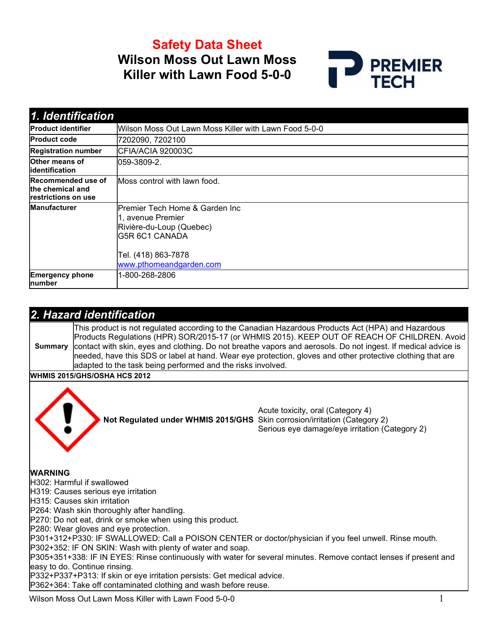Safety Data Sheet Wilson Moss Out Lawn Moss Killer with Lawn Food 5-0-0



| 1. Identification                                                    |                                                                                                                           |
|----------------------------------------------------------------------|---------------------------------------------------------------------------------------------------------------------------|
| <b>Product identifier</b>                                            | Wilson Moss Out Lawn Moss Killer with Lawn Food 5-0-0                                                                     |
| <b>Product code</b>                                                  | 7202090, 7202100                                                                                                          |
| <b>Registration number</b>                                           | CFIA/ACIA 920003C                                                                                                         |
| Other means of<br><b>lidentification</b>                             | 059-3809-2.                                                                                                               |
| Recommended use of<br>the chemical and<br><b>restrictions on use</b> | lMoss control with lawn food.                                                                                             |
| <b>Manufacturer</b>                                                  | Premier Tech Home & Garden Inc<br>1, avenue Premier<br>Rivière-du-Loup (Quebec)<br>IG5R 6C1 CANADA<br>Tel. (418) 863-7878 |
|                                                                      | www.pthomeandgarden.com                                                                                                   |
| <b>Emergency phone</b><br><b>Inumber</b>                             | 1-800-268-2806                                                                                                            |

|                | 2. Hazard identification                                                  |                                                                                                                                                                                                                                                                                                                                                                                                                                   |
|----------------|---------------------------------------------------------------------------|-----------------------------------------------------------------------------------------------------------------------------------------------------------------------------------------------------------------------------------------------------------------------------------------------------------------------------------------------------------------------------------------------------------------------------------|
| <b>Summary</b> | adapted to the task being performed and the risks involved.               | This product is not regulated according to the Canadian Hazardous Products Act (HPA) and Hazardous<br>Products Regulations (HPR) SOR/2015-17 (or WHMIS 2015). KEEP OUT OF REACH OF CHILDREN. Avoid<br>contact with skin, eyes and clothing. Do not breathe vapors and aerosols. Do not ingest. If medical advice is<br>needed, have this SDS or label at hand. Wear eye protection, gloves and other protective clothing that are |
|                | <b>WHMIS 2015/GHS/OSHA HCS 2012</b>                                       |                                                                                                                                                                                                                                                                                                                                                                                                                                   |
|                | Not Regulated under WHMIS 2015/GHS Skin corrosion/irritation (Category 2) | Acute toxicity, oral (Category 4)<br>Serious eye damage/eye irritation (Category 2)                                                                                                                                                                                                                                                                                                                                               |
| <b>WARNING</b> |                                                                           |                                                                                                                                                                                                                                                                                                                                                                                                                                   |
|                | H302: Harmful if swallowed                                                |                                                                                                                                                                                                                                                                                                                                                                                                                                   |
|                | H319: Causes serious eye irritation                                       |                                                                                                                                                                                                                                                                                                                                                                                                                                   |
|                | H315: Causes skin irritation                                              |                                                                                                                                                                                                                                                                                                                                                                                                                                   |
|                | P264: Wash skin thoroughly after handling.                                |                                                                                                                                                                                                                                                                                                                                                                                                                                   |
|                | P270: Do not eat, drink or smoke when using this product.                 |                                                                                                                                                                                                                                                                                                                                                                                                                                   |
|                | P280: Wear gloves and eye protection.                                     |                                                                                                                                                                                                                                                                                                                                                                                                                                   |
|                |                                                                           | P301+312+P330: IF SWALLOWED: Call a POISON CENTER or doctor/physician if you feel unwell. Rinse mouth.                                                                                                                                                                                                                                                                                                                            |
|                | P302+352: IF ON SKIN: Wash with plenty of water and soap.                 |                                                                                                                                                                                                                                                                                                                                                                                                                                   |
|                |                                                                           | P305+351+338: IF IN EYES: Rinse continuously with water for several minutes. Remove contact lenses if present and                                                                                                                                                                                                                                                                                                                 |
|                | easy to do. Continue rinsing.                                             |                                                                                                                                                                                                                                                                                                                                                                                                                                   |
|                | P332+P337+P313: If skin or eye irritation persists: Get medical advice.   |                                                                                                                                                                                                                                                                                                                                                                                                                                   |
|                | P362+364: Take off contaminated clothing and wash before reuse.           |                                                                                                                                                                                                                                                                                                                                                                                                                                   |
|                | $\mathbf{v}$                                                              |                                                                                                                                                                                                                                                                                                                                                                                                                                   |

Wilson Moss Out Lawn Moss Killer with Lawn Food 5-0-0 1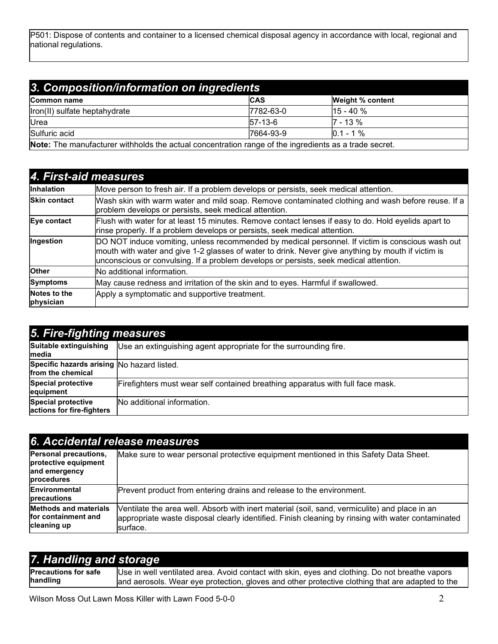P501: Dispose of contents and container to a licensed chemical disposal agency in accordance with local, regional and national regulations.

| 3. Composition/information on ingredients                                                             |             |               |  |  |  |  |  |
|-------------------------------------------------------------------------------------------------------|-------------|---------------|--|--|--|--|--|
| <b>CAS</b><br><b>Weight % content</b><br>Common name                                                  |             |               |  |  |  |  |  |
| Iron(II) sulfate heptahydrate                                                                         | 7782-63-0   | $115 - 40 \%$ |  |  |  |  |  |
| <b>Urea</b>                                                                                           | $I$ 57-13-6 | $17 - 13 \%$  |  |  |  |  |  |
| Sulfuric acid<br>$10.1 - 1\%$<br>7664-93-9                                                            |             |               |  |  |  |  |  |
| Note: The manufacturer withholds the actual concentration range of the ingredients as a trade secret. |             |               |  |  |  |  |  |

4. First-aid measures Inhalation Move person to fresh air. If a problem develops or persists, seek medical attention. Skin contact Wash skin with warm water and mild soap. Remove contaminated clothing and wash before reuse. If a problem develops or persists, seek medical attention. Eye contact Flush with water for at least 15 minutes. Remove contact lenses if easy to do. Hold eyelids apart to rinse properly. If a problem develops or persists, seek medical attention. Ingestion **DO NOT** induce vomiting, unless recommended by medical personnel. If victim is conscious wash out mouth with water and give 1-2 glasses of water to drink. Never give anything by mouth if victim is unconscious or convulsing. If a problem develops or persists, seek medical attention. Other **No additional information.** Symptoms May cause redness and irritation of the skin and to eyes. Harmful if swallowed. Notes to the physician Apply a symptomatic and supportive treatment.

| 5. Fire-fighting measures                                       |                                                                                |  |  |  |  |
|-----------------------------------------------------------------|--------------------------------------------------------------------------------|--|--|--|--|
| Suitable extinguishing<br>lmedia                                | Use an extinguishing agent appropriate for the surrounding fire.               |  |  |  |  |
| Specific hazards arising No hazard listed.<br>from the chemical |                                                                                |  |  |  |  |
| <b>Special protective</b><br>equipment                          | Firefighters must wear self contained breathing apparatus with full face mask. |  |  |  |  |
| <b>Special protective</b><br>actions for fire-fighters          | No additional information.                                                     |  |  |  |  |

| 6. Accidental release measures                                               |                                                                                                                                                                                                                |  |  |  |  |
|------------------------------------------------------------------------------|----------------------------------------------------------------------------------------------------------------------------------------------------------------------------------------------------------------|--|--|--|--|
| Personal precautions,<br>protective equipment<br>and emergency<br>procedures | Make sure to wear personal protective equipment mentioned in this Safety Data Sheet.                                                                                                                           |  |  |  |  |
| <b>Environmental</b><br>precautions                                          | Prevent product from entering drains and release to the environment.                                                                                                                                           |  |  |  |  |
| <b>Methods and materials</b><br>for containment and<br>cleaning up           | Ventilate the area well. Absorb with inert material (soil, sand, vermiculite) and place in an<br>appropriate waste disposal clearly identified. Finish cleaning by rinsing with water contaminated<br>surface. |  |  |  |  |

| 7. Handling and storage     |                                                                                                 |
|-----------------------------|-------------------------------------------------------------------------------------------------|
| <b>Precautions for safe</b> | Use in well ventilated area. Avoid contact with skin, eyes and clothing. Do not breathe vapors  |
| handling                    | and aerosols. Wear eye protection, gloves and other protective clothing that are adapted to the |

Wilson Moss Out Lawn Moss Killer with Lawn Food 5-0-0 2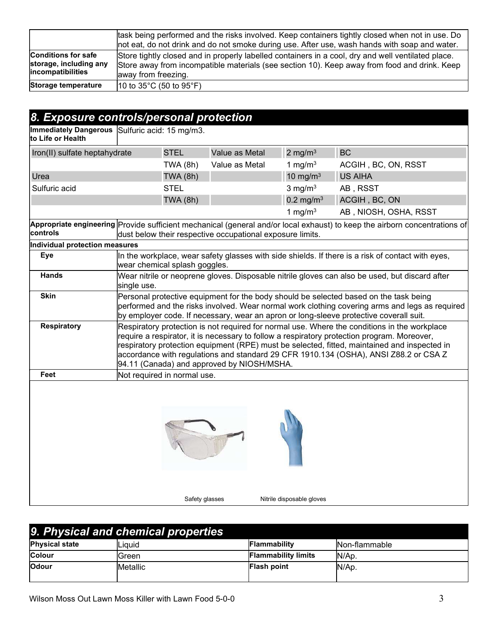|                                                                                   | task being performed and the risks involved. Keep containers tightly closed when not in use. Do<br>not eat, do not drink and do not smoke during use. After use, wash hands with soap and water.                          |
|-----------------------------------------------------------------------------------|---------------------------------------------------------------------------------------------------------------------------------------------------------------------------------------------------------------------------|
| <b>Conditions for safe</b><br>storage, including any<br><i>lincompatibilities</i> | Store tightly closed and in properly labelled containers in a cool, dry and well ventilated place.<br>Store away from incompatible materials (see section 10). Keep away from food and drink. Keep<br>away from freezing. |
| Storage temperature                                                               | $10$ to 35°C (50 to 95°F)                                                                                                                                                                                                 |

# 8. Exposure controls/personal protection

Immediately Dangerous to Life or Health Sulfuric acid: 15 mg/m3.

| Iron(II) sulfate heptahydrate               |                                                                                                                                                                                                                                                                                                                                                                                                                                   | <b>STEL</b>                   | Value as Metal                                            | 2 mg/m $3$            | <b>BC</b>                                                                                                                                                                                                                                                                         |
|---------------------------------------------|-----------------------------------------------------------------------------------------------------------------------------------------------------------------------------------------------------------------------------------------------------------------------------------------------------------------------------------------------------------------------------------------------------------------------------------|-------------------------------|-----------------------------------------------------------|-----------------------|-----------------------------------------------------------------------------------------------------------------------------------------------------------------------------------------------------------------------------------------------------------------------------------|
|                                             |                                                                                                                                                                                                                                                                                                                                                                                                                                   | TWA(8h)                       | Value as Metal                                            | 1 mg/m $3$            | ACGIH, BC, ON, RSST                                                                                                                                                                                                                                                               |
| Urea                                        |                                                                                                                                                                                                                                                                                                                                                                                                                                   | <b>TWA (8h)</b>               |                                                           | 10 mg/m $3$           | <b>US AIHA</b>                                                                                                                                                                                                                                                                    |
| Sulfuric acid                               |                                                                                                                                                                                                                                                                                                                                                                                                                                   | <b>STEL</b>                   |                                                           | $3$ mg/m <sup>3</sup> | AB, RSST                                                                                                                                                                                                                                                                          |
|                                             |                                                                                                                                                                                                                                                                                                                                                                                                                                   | <b>TWA (8h)</b>               |                                                           | $0.2 \text{ mg/m}^3$  | ACGIH, BC, ON                                                                                                                                                                                                                                                                     |
|                                             |                                                                                                                                                                                                                                                                                                                                                                                                                                   |                               |                                                           | 1 mg/m $3$            | AB, NIOSH, OSHA, RSST                                                                                                                                                                                                                                                             |
| controls                                    |                                                                                                                                                                                                                                                                                                                                                                                                                                   |                               | dust below their respective occupational exposure limits. |                       | Appropriate engineering Provide sufficient mechanical (general and/or local exhaust) to keep the airborn concentrations of                                                                                                                                                        |
| Individual protection measures              |                                                                                                                                                                                                                                                                                                                                                                                                                                   |                               |                                                           |                       |                                                                                                                                                                                                                                                                                   |
| Eye                                         |                                                                                                                                                                                                                                                                                                                                                                                                                                   | wear chemical splash goggles. |                                                           |                       | In the workplace, wear safety glasses with side shields. If there is a risk of contact with eyes,                                                                                                                                                                                 |
| <b>Hands</b>                                | single use.                                                                                                                                                                                                                                                                                                                                                                                                                       |                               |                                                           |                       | Wear nitrile or neoprene gloves. Disposable nitrile gloves can also be used, but discard after                                                                                                                                                                                    |
| <b>Skin</b>                                 |                                                                                                                                                                                                                                                                                                                                                                                                                                   |                               |                                                           |                       | Personal protective equipment for the body should be selected based on the task being<br>performed and the risks involved. Wear normal work clothing covering arms and legs as required<br>by employer code. If necessary, wear an apron or long-sleeve protective coverall suit. |
| <b>Respiratory</b>                          | Respiratory protection is not required for normal use. Where the conditions in the workplace<br>require a respirator, it is necessary to follow a respiratory protection program. Moreover,<br>respiratory protection equipment (RPE) must be selected, fitted, maintained and inspected in<br>accordance with regulations and standard 29 CFR 1910.134 (OSHA), ANSI Z88.2 or CSA Z<br>94.11 (Canada) and approved by NIOSH/MSHA. |                               |                                                           |                       |                                                                                                                                                                                                                                                                                   |
| Feet                                        |                                                                                                                                                                                                                                                                                                                                                                                                                                   | Not required in normal use.   |                                                           |                       |                                                                                                                                                                                                                                                                                   |
|                                             |                                                                                                                                                                                                                                                                                                                                                                                                                                   |                               |                                                           |                       |                                                                                                                                                                                                                                                                                   |
| Safety glasses<br>Nitrile disposable gloves |                                                                                                                                                                                                                                                                                                                                                                                                                                   |                               |                                                           |                       |                                                                                                                                                                                                                                                                                   |

| 9. Physical and chemical properties |          |                            |               |  |  |  |
|-------------------------------------|----------|----------------------------|---------------|--|--|--|
| <b>Physical state</b>               | Liauid   | <b>Flammability</b>        | Non-flammable |  |  |  |
| <b>Colour</b>                       | Green    | <b>Flammability limits</b> | IN/Ap.        |  |  |  |
| <b>Odour</b>                        | Metallic | <b>Flash point</b>         | N/Ap.         |  |  |  |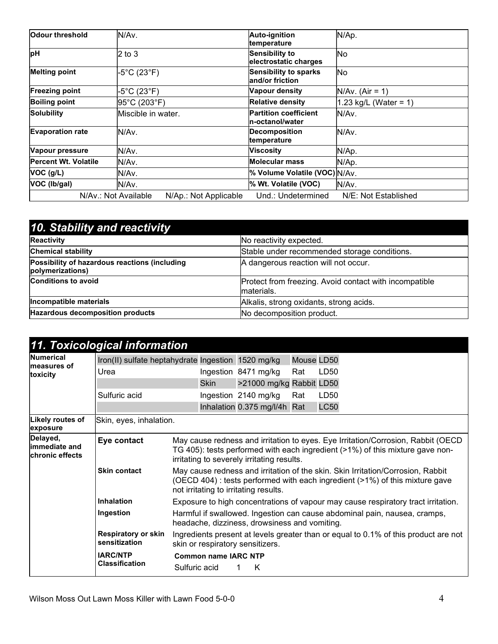| Odour threshold                                                                             | IN/Av.             | Auto-ignition<br>temperature                     | N/Ap.                 |  |
|---------------------------------------------------------------------------------------------|--------------------|--------------------------------------------------|-----------------------|--|
| pH                                                                                          | $ 2 \text{ to } 3$ | <b>Sensibility to</b><br>electrostatic charges   | No.                   |  |
| <b>Melting point</b>                                                                        | -5°C (23°F)        | <b>Sensibility to sparks</b><br>land/or friction | No.                   |  |
| <b>Freezing point</b>                                                                       | -5°C (23°F)        | Vapour density                                   | $N/Av.$ (Air = 1)     |  |
| <b>Boiling point</b>                                                                        | 95°C (203°F)       | <b>Relative density</b>                          | 1.23 kg/L (Water = 1) |  |
| Solubility                                                                                  | Miscible in water. | <b>Partition coefficient</b><br>In-octanol/water | IN/Av.                |  |
| <b>Evaporation rate</b>                                                                     | lN/Av.             | Decomposition<br>temperature                     | IN/Av.                |  |
| Vapour pressure                                                                             | IN/Av.             | <b>Viscosity</b>                                 | N/Ap.                 |  |
| <b>Percent Wt. Volatile</b>                                                                 | N/Av.              | Molecular mass                                   | N/Ap.                 |  |
| $VOC$ ( $g/L$ )                                                                             | N/Av.              | % Volume Volatile (VOC) N/Av.                    |                       |  |
| VOC (Ib/gal)<br>N/Av.                                                                       |                    | % Wt. Volatile (VOC)                             | N/Av.                 |  |
| N/Av.: Not Available<br>Und.: Undetermined<br>N/E: Not Established<br>N/Ap.: Not Applicable |                    |                                                  |                       |  |

| 10. Stability and reactivity                                      |                                                                      |
|-------------------------------------------------------------------|----------------------------------------------------------------------|
| Reactivity                                                        | No reactivity expected.                                              |
| <b>Chemical stability</b>                                         | Stable under recommended storage conditions.                         |
| Possibility of hazardous reactions (including<br>polymerizations) | A dangerous reaction will not occur.                                 |
| <b>Conditions to avoid</b>                                        | Protect from freezing. Avoid contact with incompatible<br>materials. |
| Incompatible materials                                            | Alkalis, strong oxidants, strong acids.                              |
| Hazardous decomposition products                                  | No decomposition product.                                            |

|                                               | 11. Toxicological information                      |                                                                                                                                                                                                                  |             |                              |            |                  |  |
|-----------------------------------------------|----------------------------------------------------|------------------------------------------------------------------------------------------------------------------------------------------------------------------------------------------------------------------|-------------|------------------------------|------------|------------------|--|
| Numerical<br>lmeasures of<br>toxicity         | Iron(II) sulfate heptahydrate Ingestion 1520 mg/kg |                                                                                                                                                                                                                  |             |                              | Mouse LD50 |                  |  |
|                                               | Urea                                               |                                                                                                                                                                                                                  |             | Ingestion 8471 mg/kg         | Rat        | LD <sub>50</sub> |  |
|                                               |                                                    |                                                                                                                                                                                                                  | <b>Skin</b> | >21000 mg/kg Rabbit LD50     |            |                  |  |
|                                               | Sulfuric acid                                      |                                                                                                                                                                                                                  |             | Ingestion 2140 mg/kg         | Rat        | LD50             |  |
|                                               |                                                    |                                                                                                                                                                                                                  |             | Inhalation 0.375 mg/l/4h Rat |            | <b>LC50</b>      |  |
| Likely routes of<br>exposure                  | Skin, eyes, inhalation.                            |                                                                                                                                                                                                                  |             |                              |            |                  |  |
| Delayed,<br>limmediate and<br>chronic effects | Eye contact                                        | May cause redness and irritation to eyes. Eye Irritation/Corrosion, Rabbit (OECD)<br>TG 405): tests performed with each ingredient (>1%) of this mixture gave non-<br>irritating to severely irritating results. |             |                              |            |                  |  |
|                                               | <b>Skin contact</b>                                | May cause redness and irritation of the skin. Skin Irritation/Corrosion, Rabbit<br>(OECD 404) : tests performed with each ingredient (>1%) of this mixture gave<br>not irritating to irritating results.         |             |                              |            |                  |  |
|                                               | <b>Inhalation</b>                                  | Exposure to high concentrations of vapour may cause respiratory tract irritation.                                                                                                                                |             |                              |            |                  |  |
|                                               | Ingestion                                          | Harmful if swallowed. Ingestion can cause abdominal pain, nausea, cramps,<br>headache, dizziness, drowsiness and vomiting.                                                                                       |             |                              |            |                  |  |
|                                               | <b>Respiratory or skin</b><br>sensitization        | Ingredients present at levels greater than or equal to 0.1% of this product are not<br>skin or respiratory sensitizers.                                                                                          |             |                              |            |                  |  |
|                                               | <b>IARC/NTP</b><br><b>Classification</b>           | <b>Common name IARC NTP</b><br>Sulfuric acid<br>K                                                                                                                                                                |             |                              |            |                  |  |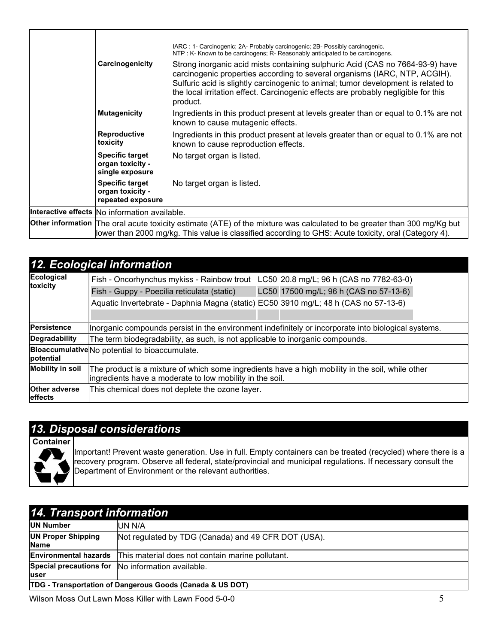|                                                                                                                                                                                                                                        | IARC: 1- Carcinogenic; 2A- Probably carcinogenic; 2B- Possibly carcinogenic.<br>NTP: K- Known to be carcinogens; R- Reasonably anticipated to be carcinogens.                                                                                                                                                                                      |  |  |
|----------------------------------------------------------------------------------------------------------------------------------------------------------------------------------------------------------------------------------------|----------------------------------------------------------------------------------------------------------------------------------------------------------------------------------------------------------------------------------------------------------------------------------------------------------------------------------------------------|--|--|
| Carcinogenicity                                                                                                                                                                                                                        | Strong inorganic acid mists containing sulphuric Acid (CAS no 7664-93-9) have<br>carcinogenic properties according to several organisms (IARC, NTP, ACGIH).<br>Sulfuric acid is slightly carcinogenic to animal; tumor development is related to<br>the local irritation effect. Carcinogenic effects are probably negligible for this<br>product. |  |  |
| <b>Mutagenicity</b>                                                                                                                                                                                                                    | Ingredients in this product present at levels greater than or equal to 0.1% are not<br>known to cause mutagenic effects.                                                                                                                                                                                                                           |  |  |
| <b>Reproductive</b><br>toxicity                                                                                                                                                                                                        | Ingredients in this product present at levels greater than or equal to 0.1% are not<br>known to cause reproduction effects.                                                                                                                                                                                                                        |  |  |
| <b>Specific target</b><br>organ toxicity -<br>single exposure                                                                                                                                                                          | No target organ is listed.                                                                                                                                                                                                                                                                                                                         |  |  |
| <b>Specific target</b><br>organ toxicity -<br>repeated exposure                                                                                                                                                                        | No target organ is listed.                                                                                                                                                                                                                                                                                                                         |  |  |
| Interactive effects No information available.                                                                                                                                                                                          |                                                                                                                                                                                                                                                                                                                                                    |  |  |
| <b>Other information</b> The oral acute toxicity estimate (ATE) of the mixture was calculated to be greater than 300 mg/Kg but<br>lower than 2000 mg/kg. This value is classified according to GHS: Acute toxicity, oral (Category 4). |                                                                                                                                                                                                                                                                                                                                                    |  |  |

|                                 | 12. Ecological information                                                                                                                                    |  |  |  |
|---------------------------------|---------------------------------------------------------------------------------------------------------------------------------------------------------------|--|--|--|
| Ecological                      | Fish - Oncorhynchus mykiss - Rainbow trout LC50 20.8 mg/L; 96 h (CAS no 7782-63-0)                                                                            |  |  |  |
| toxicity                        | LC50 17500 mg/L; 96 h (CAS no 57-13-6)<br>Fish - Guppy - Poecilia reticulata (static)                                                                         |  |  |  |
|                                 | Aquatic Invertebrate - Daphnia Magna (static) EC50 3910 mg/L; 48 h (CAS no 57-13-6)                                                                           |  |  |  |
|                                 |                                                                                                                                                               |  |  |  |
| Persistence                     | Inorganic compounds persist in the environment indefinitely or incorporate into biological systems.                                                           |  |  |  |
| Degradability                   | The term biodegradability, as such, is not applicable to inorganic compounds.                                                                                 |  |  |  |
| potential                       | Bioaccumulative No potential to bioaccumulate.                                                                                                                |  |  |  |
| <b>Mobility in soil</b>         | The product is a mixture of which some ingredients have a high mobility in the soil, while other<br>lingredients have a moderate to low mobility in the soil. |  |  |  |
| <b>Other adverse</b><br>effects | This chemical does not deplete the ozone layer.                                                                                                               |  |  |  |

### 13. Disposal considerations

**Container** 



Important! Prevent waste generation. Use in full. Empty containers can be treated (recycled) where there is a recovery program. Observe all federal, state/provincial and municipal regulations. If necessary consult the Department of Environment or the relevant authorities.

| 14. Transport information                                            |                                                     |  |  |  |
|----------------------------------------------------------------------|-----------------------------------------------------|--|--|--|
| <b>UN Number</b>                                                     | IUN N/A                                             |  |  |  |
| <b>UN Proper Shipping</b><br><b>Name</b>                             | Not regulated by TDG (Canada) and 49 CFR DOT (USA). |  |  |  |
| <b>Environmental hazards</b>                                         | This material does not contain marine pollutant.    |  |  |  |
| luser                                                                | Special precautions for  No information available.  |  |  |  |
| <b>TDG - Transportation of Dangerous Goods (Canada &amp; US DOT)</b> |                                                     |  |  |  |

Wilson Moss Out Lawn Moss Killer with Lawn Food 5-0-0 5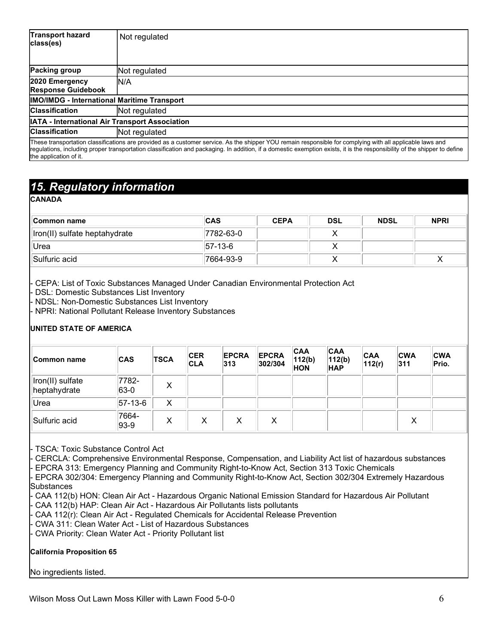| <b>Transport hazard</b><br>class(es)                  | Not regulated                                                                                                                                                                                                                                                                                                                          |  |  |  |  |
|-------------------------------------------------------|----------------------------------------------------------------------------------------------------------------------------------------------------------------------------------------------------------------------------------------------------------------------------------------------------------------------------------------|--|--|--|--|
| <b>Packing group</b>                                  | Not regulated                                                                                                                                                                                                                                                                                                                          |  |  |  |  |
| 2020 Emergency<br><b>Response Guidebook</b>           | IN/A                                                                                                                                                                                                                                                                                                                                   |  |  |  |  |
| <b>IMO/IMDG - International Maritime Transport</b>    |                                                                                                                                                                                                                                                                                                                                        |  |  |  |  |
| <b>Classification</b><br>Not regulated                |                                                                                                                                                                                                                                                                                                                                        |  |  |  |  |
| <b>IATA - International Air Transport Association</b> |                                                                                                                                                                                                                                                                                                                                        |  |  |  |  |
| <b>Classification</b>                                 | Not regulated                                                                                                                                                                                                                                                                                                                          |  |  |  |  |
| the application of it.                                | These transportation classifications are provided as a customer service. As the shipper YOU remain responsible for complying with all applicable laws and<br>requlations, including proper transportation classification and packaging. In addition, if a domestic exemption exists, it is the responsibility of the shipper to define |  |  |  |  |

## 15. Regulatory information

CANADA

| <b>Common name</b>            | <b>CAS</b>  | <b>CEPA</b> | <b>DSL</b> | <b>NDSL</b> | <b>NPRI</b> |
|-------------------------------|-------------|-------------|------------|-------------|-------------|
| Iron(II) sulfate heptahydrate | 7782-63-0   |             |            |             |             |
| Urea                          | $ 57-13-6 $ |             |            |             |             |
| Sulfuric acid                 | 7664-93-9   |             |            |             | $\lambda$   |

- CEPA: List of Toxic Substances Managed Under Canadian Environmental Protection Act

DSL: Domestic Substances List Inventory

- NDSL: Non-Domestic Substances List Inventory

- NPRI: National Pollutant Release Inventory Substances

#### UNITED STATE OF AMERICA

| Common name                      | <b>CAS</b>        | <b>TSCA</b> | <b>CER</b><br><b>CLA</b> | <b>EPCRA</b><br> 313 | <b>EPCRA</b><br>302/304 | <b>CAA</b><br>112(b)<br><b>HON</b> | <b>CAA</b><br>112(b)<br><b>HAP</b> | <b>CAA</b><br>112(r) | <b>CWA</b><br>311 | <b>CWA</b><br>Prio. |
|----------------------------------|-------------------|-------------|--------------------------|----------------------|-------------------------|------------------------------------|------------------------------------|----------------------|-------------------|---------------------|
| Iron(II) sulfate<br>heptahydrate | 7782-<br>63-0     | X           |                          |                      |                         |                                    |                                    |                      |                   |                     |
| Urea                             | $ 57-13-6 $       | X           |                          |                      |                         |                                    |                                    |                      |                   |                     |
| Sulfuric acid                    | 7664-<br>$ 93-9 $ | X           | X                        | X                    | X                       |                                    |                                    |                      | X                 |                     |

- TSCA: Toxic Substance Control Act

- CERCLA: Comprehensive Environmental Response, Compensation, and Liability Act list of hazardous substances - EPCRA 313: Emergency Planning and Community Right-to-Know Act, Section 313 Toxic Chemicals

EPCRA 302/304: Emergency Planning and Community Right-to-Know Act, Section 302/304 Extremely Hazardous

Substances

- CAA 112(b) HON: Clean Air Act Hazardous Organic National Emission Standard for Hazardous Air Pollutant
- CAA 112(b) HAP: Clean Air Act Hazardous Air Pollutants lists pollutants
- CAA 112(r): Clean Air Act Regulated Chemicals for Accidental Release Prevention
- CWA 311: Clean Water Act List of Hazardous Substances

CWA Priority: Clean Water Act - Priority Pollutant list

#### California Proposition 65

#### No ingredients listed.